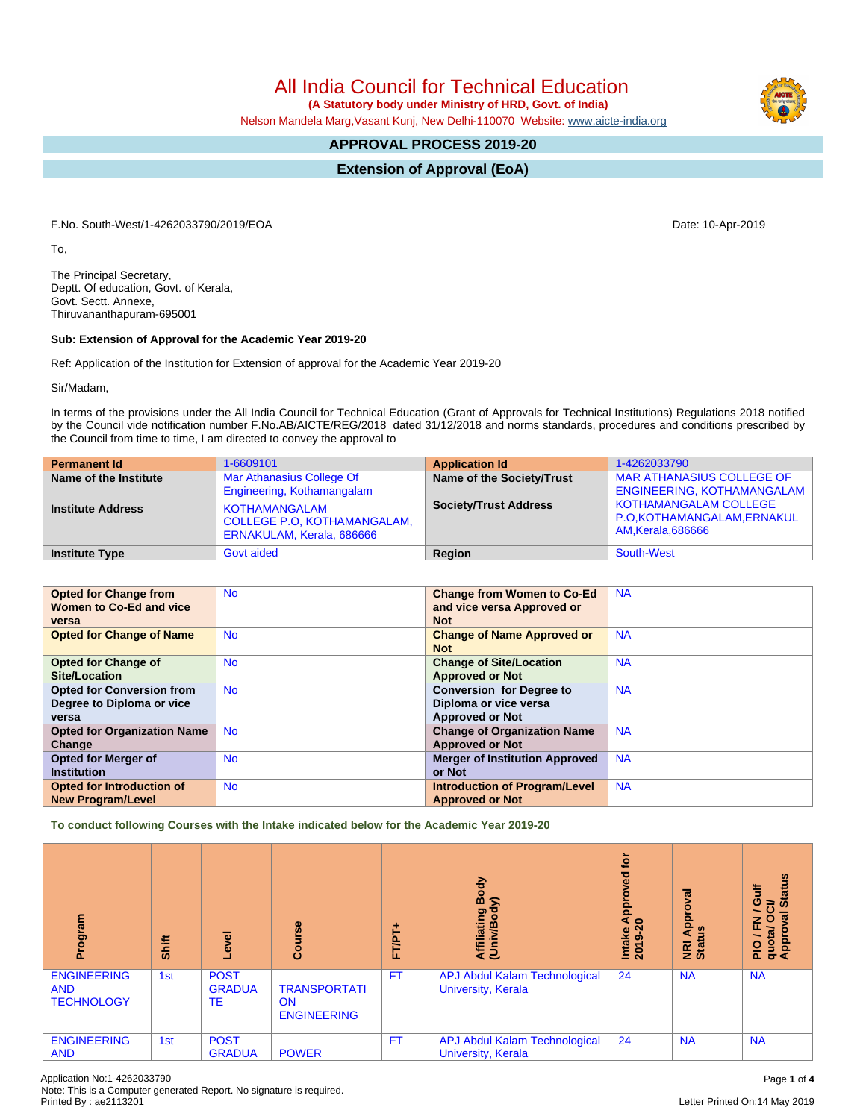All India Council for Technical Education

 **(A Statutory body under Ministry of HRD, Govt. of India)**

Nelson Mandela Marg,Vasant Kunj, New Delhi-110070 Website: [www.aicte-india.org](http://www.aicte-india.org)

# **APPROVAL PROCESS 2019-20**

**Extension of Approval (EoA)**

F.No. South-West/1-4262033790/2019/EOA Date: 10-Apr-2019

To,

The Principal Secretary, Deptt. Of education, Govt. of Kerala, Govt. Sectt. Annexe, Thiruvananthapuram-695001

#### **Sub: Extension of Approval for the Academic Year 2019-20**

Ref: Application of the Institution for Extension of approval for the Academic Year 2019-20

Sir/Madam,

In terms of the provisions under the All India Council for Technical Education (Grant of Approvals for Technical Institutions) Regulations 2018 notified by the Council vide notification number F.No.AB/AICTE/REG/2018 dated 31/12/2018 and norms standards, procedures and conditions prescribed by the Council from time to time, I am directed to convey the approval to

| <b>Permanent Id</b>      | 1-6609101                                                                               | <b>Application Id</b>        | 1-4262033790                                                                     |
|--------------------------|-----------------------------------------------------------------------------------------|------------------------------|----------------------------------------------------------------------------------|
| Name of the Institute    | Mar Athanasius College Of<br>Engineering, Kothamangalam                                 | Name of the Society/Trust    | <b>MAR ATHANASIUS COLLEGE OF</b><br><b>ENGINEERING, KOTHAMANGALAM</b>            |
| <b>Institute Address</b> | <b>KOTHAMANGALAM</b><br><b>COLLEGE P.O. KOTHAMANGALAM.</b><br>ERNAKULAM, Kerala, 686666 | <b>Society/Trust Address</b> | <b>KOTHAMANGALAM COLLEGE</b><br>P.O.KOTHAMANGALAM, ERNAKUL<br>AM, Kerala, 686666 |
| <b>Institute Type</b>    | <b>Govt aided</b>                                                                       | Region                       | South-West                                                                       |

| <b>Opted for Change from</b><br>Women to Co-Ed and vice<br>versa       | <b>No</b> | <b>Change from Women to Co-Ed</b><br>and vice versa Approved or<br><b>Not</b>      | <b>NA</b> |
|------------------------------------------------------------------------|-----------|------------------------------------------------------------------------------------|-----------|
| <b>Opted for Change of Name</b>                                        | <b>No</b> | <b>Change of Name Approved or</b><br><b>Not</b>                                    | <b>NA</b> |
| <b>Opted for Change of</b><br>Site/Location                            | <b>No</b> | <b>Change of Site/Location</b><br><b>Approved or Not</b>                           | <b>NA</b> |
| <b>Opted for Conversion from</b><br>Degree to Diploma or vice<br>versa | <b>No</b> | <b>Conversion for Degree to</b><br>Diploma or vice versa<br><b>Approved or Not</b> | <b>NA</b> |
| <b>Opted for Organization Name</b><br>Change                           | <b>No</b> | <b>Change of Organization Name</b><br><b>Approved or Not</b>                       | <b>NA</b> |
| <b>Opted for Merger of</b><br><b>Institution</b>                       | <b>No</b> | <b>Merger of Institution Approved</b><br>or Not                                    | <b>NA</b> |
| Opted for Introduction of<br><b>New Program/Level</b>                  | <b>No</b> | <b>Introduction of Program/Level</b><br><b>Approved or Not</b>                     | <b>NA</b> |

**To conduct following Courses with the Intake indicated below for the Academic Year 2019-20**

| rogram                                                | Shift | Level                              | Course                                                 | ٠<br><b>FT/PT</b> | Body<br>⋦<br>Affiliating<br>Ē                              | ē<br>ਫ<br>음<br>⋖<br>$\circ$<br>Intake<br>2019-2 | ᢛ<br>ō<br>$\overline{\mathbf{C}}$<br>g<br>⋖<br>NRI<br>Statu | <b>Status</b><br><b>Jir</b><br>ಕ<br>∽<br>g<br>O<br>준<br>quota/<br>Approv<br>$\frac{1}{2}$ |
|-------------------------------------------------------|-------|------------------------------------|--------------------------------------------------------|-------------------|------------------------------------------------------------|-------------------------------------------------|-------------------------------------------------------------|-------------------------------------------------------------------------------------------|
| <b>ENGINEERING</b><br><b>AND</b><br><b>TECHNOLOGY</b> | 1st   | <b>POST</b><br><b>GRADUA</b><br>TE | <b>TRANSPORTATI</b><br><b>ON</b><br><b>ENGINEERING</b> | <b>FT</b>         | <b>APJ Abdul Kalam Technological</b><br>University, Kerala | 24                                              | <b>NA</b>                                                   | <b>NA</b>                                                                                 |
| <b>ENGINEERING</b><br><b>AND</b>                      | 1st   | <b>POST</b><br><b>GRADUA</b>       | <b>POWER</b>                                           | FT                | APJ Abdul Kalam Technological<br>University, Kerala        | 24                                              | <b>NA</b>                                                   | <b>NA</b>                                                                                 |

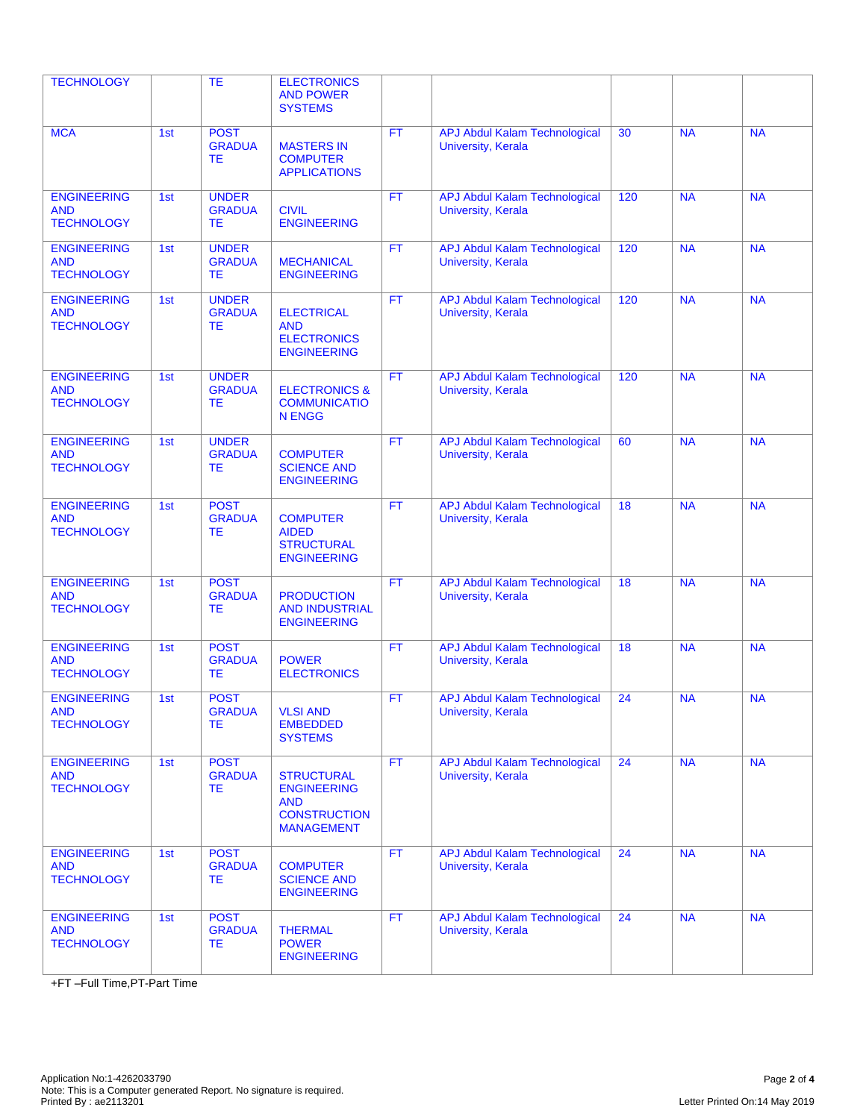| <b>TECHNOLOGY</b>                                     |     | <b>TE</b>                                  | <b>ELECTRONICS</b><br><b>AND POWER</b><br><b>SYSTEMS</b>                                          |           |                                                                   |     |           |           |
|-------------------------------------------------------|-----|--------------------------------------------|---------------------------------------------------------------------------------------------------|-----------|-------------------------------------------------------------------|-----|-----------|-----------|
| <b>MCA</b>                                            | 1st | <b>POST</b><br><b>GRADUA</b><br>ТE         | <b>MASTERS IN</b><br><b>COMPUTER</b><br><b>APPLICATIONS</b>                                       | <b>FT</b> | <b>APJ Abdul Kalam Technological</b><br><b>University, Kerala</b> | 30  | <b>NA</b> | <b>NA</b> |
| <b>ENGINEERING</b><br><b>AND</b><br><b>TECHNOLOGY</b> | 1st | <b>UNDER</b><br><b>GRADUA</b><br>ТE        | <b>CIVIL</b><br><b>ENGINEERING</b>                                                                | <b>FT</b> | <b>APJ Abdul Kalam Technological</b><br><b>University, Kerala</b> | 120 | <b>NA</b> | <b>NA</b> |
| <b>ENGINEERING</b><br><b>AND</b><br><b>TECHNOLOGY</b> | 1st | <b>UNDER</b><br><b>GRADUA</b><br><b>TE</b> | <b>MECHANICAL</b><br><b>ENGINEERING</b>                                                           | <b>FT</b> | <b>APJ Abdul Kalam Technological</b><br><b>University, Kerala</b> | 120 | <b>NA</b> | <b>NA</b> |
| <b>ENGINEERING</b><br><b>AND</b><br><b>TECHNOLOGY</b> | 1st | <b>UNDER</b><br><b>GRADUA</b><br><b>TE</b> | <b>ELECTRICAL</b><br><b>AND</b><br><b>ELECTRONICS</b><br><b>ENGINEERING</b>                       | <b>FT</b> | <b>APJ Abdul Kalam Technological</b><br><b>University, Kerala</b> | 120 | <b>NA</b> | <b>NA</b> |
| <b>ENGINEERING</b><br><b>AND</b><br><b>TECHNOLOGY</b> | 1st | <b>UNDER</b><br><b>GRADUA</b><br><b>TE</b> | <b>ELECTRONICS &amp;</b><br><b>COMMUNICATIO</b><br><b>N ENGG</b>                                  | <b>FT</b> | <b>APJ Abdul Kalam Technological</b><br><b>University, Kerala</b> | 120 | <b>NA</b> | <b>NA</b> |
| <b>ENGINEERING</b><br><b>AND</b><br><b>TECHNOLOGY</b> | 1st | <b>UNDER</b><br><b>GRADUA</b><br>ТE        | <b>COMPUTER</b><br><b>SCIENCE AND</b><br><b>ENGINEERING</b>                                       | <b>FT</b> | <b>APJ Abdul Kalam Technological</b><br><b>University, Kerala</b> | 60  | <b>NA</b> | <b>NA</b> |
| <b>ENGINEERING</b><br><b>AND</b><br><b>TECHNOLOGY</b> | 1st | <b>POST</b><br><b>GRADUA</b><br>ТE         | <b>COMPUTER</b><br><b>AIDED</b><br><b>STRUCTURAL</b><br><b>ENGINEERING</b>                        | <b>FT</b> | <b>APJ Abdul Kalam Technological</b><br><b>University, Kerala</b> | 18  | <b>NA</b> | <b>NA</b> |
| <b>ENGINEERING</b><br><b>AND</b><br><b>TECHNOLOGY</b> | 1st | <b>POST</b><br><b>GRADUA</b><br>ТE         | <b>PRODUCTION</b><br><b>AND INDUSTRIAL</b><br><b>ENGINEERING</b>                                  | FT.       | <b>APJ Abdul Kalam Technological</b><br><b>University, Kerala</b> | 18  | <b>NA</b> | <b>NA</b> |
| <b>ENGINEERING</b><br><b>AND</b><br><b>TECHNOLOGY</b> | 1st | <b>POST</b><br><b>GRADUA</b><br><b>TE</b>  | <b>POWER</b><br><b>ELECTRONICS</b>                                                                | <b>FT</b> | <b>APJ Abdul Kalam Technological</b><br>University, Kerala        | 18  | <b>NA</b> | <b>NA</b> |
| <b>ENGINEERING</b><br><b>AND</b><br><b>TECHNOLOGY</b> | 1st | <b>POST</b><br><b>GRADUA</b><br>ТE         | <b>VLSI AND</b><br><b>EMBEDDED</b><br><b>SYSTEMS</b>                                              | <b>FT</b> | <b>APJ Abdul Kalam Technological</b><br>University, Kerala        | 24  | <b>NA</b> | <b>NA</b> |
| <b>ENGINEERING</b><br><b>AND</b><br><b>TECHNOLOGY</b> | 1st | <b>POST</b><br><b>GRADUA</b><br>ТE         | <b>STRUCTURAL</b><br><b>ENGINEERING</b><br><b>AND</b><br><b>CONSTRUCTION</b><br><b>MANAGEMENT</b> | FT.       | <b>APJ Abdul Kalam Technological</b><br>University, Kerala        | 24  | <b>NA</b> | <b>NA</b> |
| <b>ENGINEERING</b><br><b>AND</b><br><b>TECHNOLOGY</b> | 1st | <b>POST</b><br><b>GRADUA</b><br>TE         | <b>COMPUTER</b><br><b>SCIENCE AND</b><br><b>ENGINEERING</b>                                       | FT.       | <b>APJ Abdul Kalam Technological</b><br><b>University, Kerala</b> | 24  | <b>NA</b> | <b>NA</b> |
| <b>ENGINEERING</b><br><b>AND</b><br><b>TECHNOLOGY</b> | 1st | <b>POST</b><br><b>GRADUA</b><br>TE         | <b>THERMAL</b><br><b>POWER</b><br><b>ENGINEERING</b>                                              | FT.       | APJ Abdul Kalam Technological<br><b>University, Kerala</b>        | 24  | <b>NA</b> | <b>NA</b> |

+FT –Full Time,PT-Part Time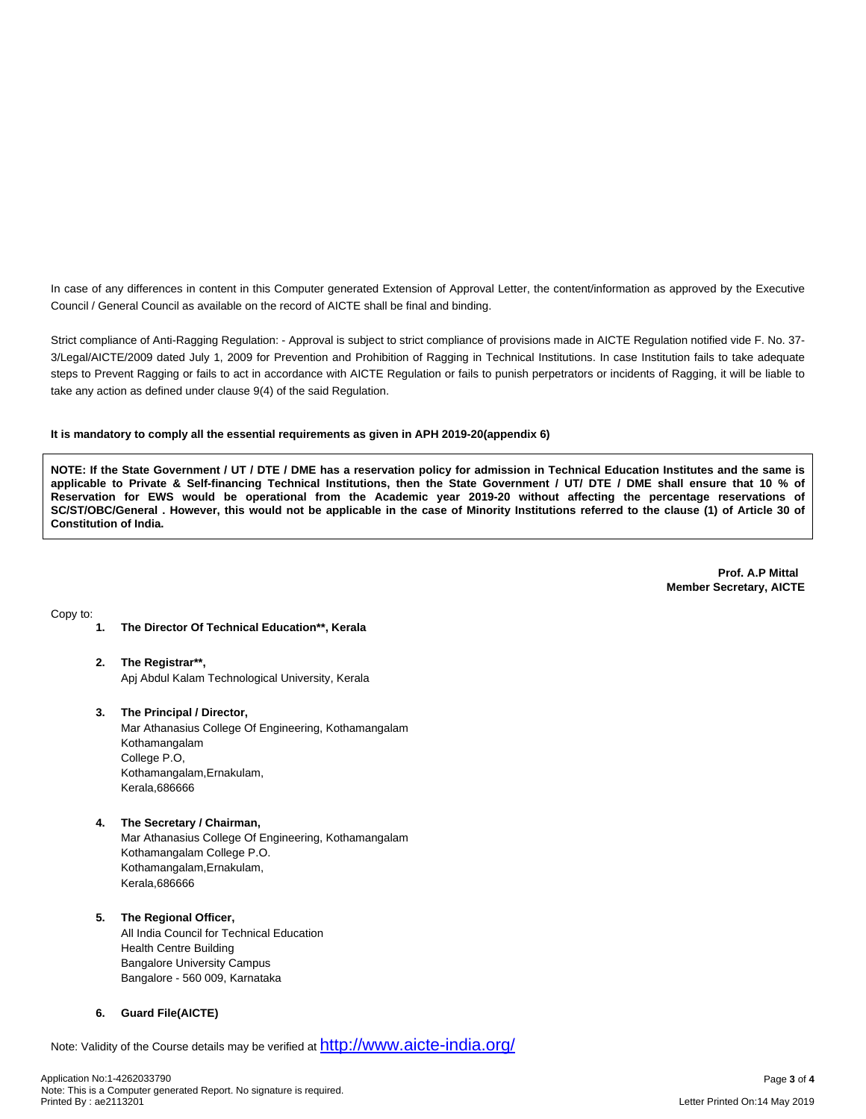In case of any differences in content in this Computer generated Extension of Approval Letter, the content/information as approved by the Executive Council / General Council as available on the record of AICTE shall be final and binding.

Strict compliance of Anti-Ragging Regulation: - Approval is subject to strict compliance of provisions made in AICTE Regulation notified vide F. No. 37- 3/Legal/AICTE/2009 dated July 1, 2009 for Prevention and Prohibition of Ragging in Technical Institutions. In case Institution fails to take adequate steps to Prevent Ragging or fails to act in accordance with AICTE Regulation or fails to punish perpetrators or incidents of Ragging, it will be liable to take any action as defined under clause 9(4) of the said Regulation.

#### **It is mandatory to comply all the essential requirements as given in APH 2019-20(appendix 6)**

NOTE: If the State Government / UT / DTE / DME has a reservation policy for admission in Technical Education Institutes and the same is applicable to Private & Self-financing Technical Institutions, then the State Government / UT/ DTE / DME shall ensure that 10 % of Reservation for EWS would be operational from the Academic year 2019-20 without affecting the percentage reservations of SC/ST/OBC/General . However, this would not be applicable in the case of Minority Institutions referred to the clause (1) of Article 30 of **Constitution of India.**

> **Prof. A.P Mittal Member Secretary, AICTE**

Copy to:

- **1. The Director Of Technical Education\*\*, Kerala**
- **2. The Registrar\*\*,** Apj Abdul Kalam Technological University, Kerala
- **3. The Principal / Director,** Mar Athanasius College Of Engineering, Kothamangalam Kothamangalam College P.O, Kothamangalam,Ernakulam, Kerala,686666
- **4. The Secretary / Chairman,** Mar Athanasius College Of Engineering, Kothamangalam Kothamangalam College P.O. Kothamangalam,Ernakulam, Kerala,686666

## **5. The Regional Officer,**

All India Council for Technical Education Health Centre Building Bangalore University Campus Bangalore - 560 009, Karnataka

### **6. Guard File(AICTE)**

Note: Validity of the Course details may be verified at <http://www.aicte-india.org/>